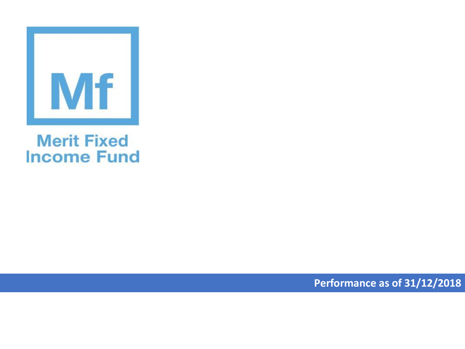

## **Merit Fixed Income Fund**

**Performance as of 31/12/2018**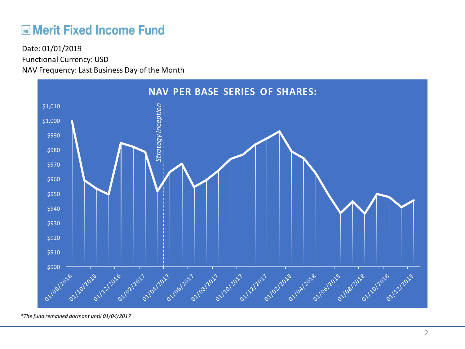## **ME Merit Fixed Income Fund**

Functional Currency: USD NAV Frequency: Last Business Day of the Month